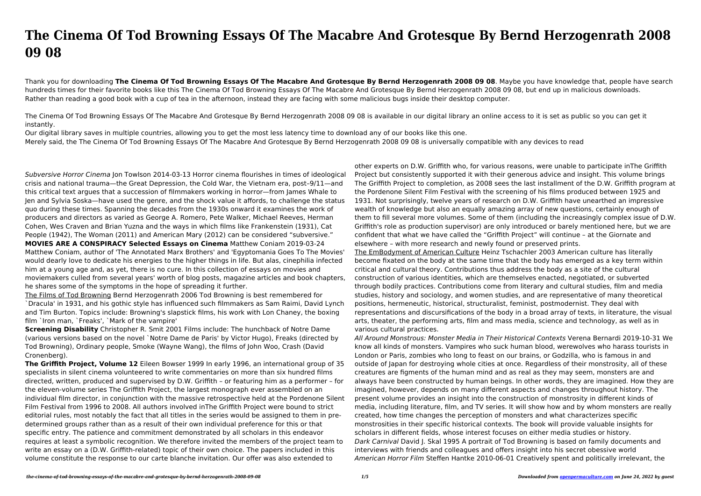## **The Cinema Of Tod Browning Essays Of The Macabre And Grotesque By Bernd Herzogenrath 2008 09 08**

Thank you for downloading **The Cinema Of Tod Browning Essays Of The Macabre And Grotesque By Bernd Herzogenrath 2008 09 08**. Maybe you have knowledge that, people have search hundreds times for their favorite books like this The Cinema Of Tod Browning Essays Of The Macabre And Grotesque By Bernd Herzogenrath 2008 09 08, but end up in malicious downloads. Rather than reading a good book with a cup of tea in the afternoon, instead they are facing with some malicious bugs inside their desktop computer.

The Cinema Of Tod Browning Essays Of The Macabre And Grotesque By Bernd Herzogenrath 2008 09 08 is available in our digital library an online access to it is set as public so you can get it instantly.

Our digital library saves in multiple countries, allowing you to get the most less latency time to download any of our books like this one. Merely said, the The Cinema Of Tod Browning Essays Of The Macabre And Grotesque By Bernd Herzogenrath 2008 09 08 is universally compatible with any devices to read

Subversive Horror Cinema Jon Towlson 2014-03-13 Horror cinema flourishes in times of ideological crisis and national trauma—the Great Depression, the Cold War, the Vietnam era, post–9/11—and this critical text argues that a succession of filmmakers working in horror—from James Whale to Jen and Sylvia Soska—have used the genre, and the shock value it affords, to challenge the status quo during these times. Spanning the decades from the 1930s onward it examines the work of producers and directors as varied as George A. Romero, Pete Walker, Michael Reeves, Herman Cohen, Wes Craven and Brian Yuzna and the ways in which films like Frankenstein (1931), Cat People (1942), The Woman (2011) and American Mary (2012) can be considered "subversive."

**MOVIES ARE A CONSPIRACY Selected Essays on Cinema** Matthew Coniam 2019-03-24 Matthew Coniam, author of 'The Annotated Marx Brothers' and 'Egyptomania Goes To The Movies' would dearly love to dedicate his energies to the higher things in life. But alas, cinephilia infected him at a young age and, as yet, there is no cure. In this collection of essays on movies and moviemakers culled from several years' worth of blog posts, magazine articles and book chapters, he shares some of the symptoms in the hope of spreading it further.

The Films of Tod Browning Bernd Herzogenrath 2006 Tod Browning is best remembered for `Dracula' in 1931, and his gothic style has influenced such filmmakers as Sam Raimi, David Lynch and Tim Burton. Topics include: Browning's slapstick films, his work with Lon Chaney, the boxing film `Iron man, `Freaks', `Mark of the vampire'

**Screening Disability** Christopher R. Smit 2001 Films include: The hunchback of Notre Dame (various versions based on the novel `Notre Dame de Paris' by Victor Hugo), Freaks (directed by Tod Browning), Ordinary people, Smoke (Wayne Wang), the films of John Woo, Crash (David Cronenberg).

**The Griffith Project, Volume 12** Eileen Bowser 1999 In early 1996, an international group of 35 specialists in silent cinema volunteered to write commentaries on more than six hundred films directed, written, produced and supervised by D.W. Griffith – or featuring him as a performer – for the eleven-volume series The Griffith Project, the largest monograph ever assembled on an individual film director, in conjunction with the massive retrospective held at the Pordenone Silent Film Festival from 1996 to 2008. All authors involved inThe Griffith Project were bound to strict editorial rules, most notably the fact that all titles in the series would be assigned to them in predetermined groups rather than as a result of their own individual preference for this or that specific entry. The patience and commitment demonstrated by all scholars in this endeavor requires at least a symbolic recognition. We therefore invited the members of the project team to write an essay on a (D.W. Griffith-related) topic of their own choice. The papers included in this volume constitute the response to our carte blanche invitation. Our offer was also extended to

other experts on D.W. Griffith who, for various reasons, were unable to participate inThe Griffith Project but consistently supported it with their generous advice and insight. This volume brings The Griffith Project to completion, as 2008 sees the last installment of the D.W. Griffith program at the Pordenone Silent Film Festival with the screening of his films produced between 1925 and 1931. Not surprisingly, twelve years of research on D.W. Griffith have unearthed an impressive wealth of knowledge but also an equally amazing array of new questions, certainly enough of them to fill several more volumes. Some of them (including the increasingly complex issue of D.W. Griffith's role as production supervisor) are only introduced or barely mentioned here, but we are confident that what we have called the "Griffith Project" will continue – at the Giornate and elsewhere – with more research and newly found or preserved prints. The EmBodyment of American Culture Heinz Tschachler 2003 American culture has literally become fixated on the body at the same time that the body has emerged as a key term within critical and cultural theory. Contributions thus address the body as a site of the cultural construction of various identities, which are themselves enacted, negotiated, or subverted through bodily practices. Contributions come from literary and cultural studies, film and media studies, history and sociology, and women studies, and are representative of many theoretical positions, hermeneutic, historical, structuralist, feminist, postmodernist. They deal with representations and discursifications of the body in a broad array of texts, in literature, the visual arts, theater, the performing arts, film and mass media, science and technology, as well as in various cultural practices.

All Around Monstrous: Monster Media in Their Historical Contexts Verena Bernardi 2019-10-31 We know all kinds of monsters. Vampires who suck human blood, werewolves who harass tourists in London or Paris, zombies who long to feast on our brains, or Godzilla, who is famous in and outside of Japan for destroying whole cities at once. Regardless of their monstrosity, all of these creatures are figments of the human mind and as real as they may seem, monsters are and always have been constructed by human beings. In other words, they are imagined. How they are imagined, however, depends on many different aspects and changes throughout history. The present volume provides an insight into the construction of monstrosity in different kinds of media, including literature, film, and TV series. It will show how and by whom monsters are really created, how time changes the perception of monsters and what characterizes specific monstrosities in their specific historical contexts. The book will provide valuable insights for scholars in different fields, whose interest focuses on either media studies or history. Dark Carnival David J. Skal 1995 A portrait of Tod Browning is based on family documents and interviews with friends and colleagues and offers insight into his secret obessive world American Horror Film Steffen Hantke 2010-06-01 Creatively spent and politically irrelevant, the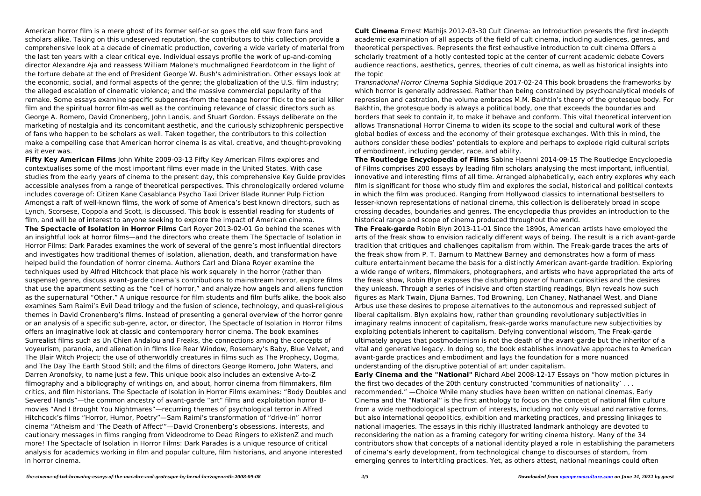American horror film is a mere ghost of its former self-or so goes the old saw from fans and scholars alike. Taking on this undeserved reputation, the contributors to this collection provide a comprehensive look at a decade of cinematic production, covering a wide variety of material from the last ten years with a clear critical eye. Individual essays profile the work of up-and-coming director Alexandre Aja and reassess William Malone's muchmaligned Feardotcom in the light of the torture debate at the end of President George W. Bush's administration. Other essays look at the economic, social, and formal aspects of the genre; the globalization of the U.S. film industry; the alleged escalation of cinematic violence; and the massive commercial popularity of the remake. Some essays examine specific subgenres-from the teenage horror flick to the serial killer film and the spiritual horror film-as well as the continuing relevance of classic directors such as George A. Romero, David Cronenberg, John Landis, and Stuart Gordon. Essays deliberate on the marketing of nostalgia and its concomitant aesthetic, and the curiously schizophrenic perspective of fans who happen to be scholars as well. Taken together, the contributors to this collection make a compelling case that American horror cinema is as vital, creative, and thought-provoking as it ever was.

**Fifty Key American Films** John White 2009-03-13 Fifty Key American Films explores and contextualises some of the most important films ever made in the United States. With case studies from the early years of cinema to the present day, this comprehensive Key Guide provides accessible analyses from a range of theoretical perspectives. This chronologically ordered volume includes coverage of: Citizen Kane Casablanca Psycho Taxi Driver Blade Runner Pulp Fiction Amongst a raft of well-known films, the work of some of America's best known directors, such as Lynch, Scorsese, Coppola and Scott, is discussed. This book is essential reading for students of film, and will be of interest to anyone seeking to explore the impact of American cinema.

**The Spectacle of Isolation in Horror Films** Carl Royer 2013-02-01 Go behind the scenes with an insightful look at horror films—and the directors who create them The Spectacle of Isolation in Horror Films: Dark Parades examines the work of several of the genre's most influential directors and investigates how traditional themes of isolation, alienation, death, and transformation have helped build the foundation of horror cinema. Authors Carl and Diana Royer examine the techniques used by Alfred Hitchcock that place his work squarely in the horror (rather than suspense) genre, discuss avant-garde cinema's contributions to mainstream horror, explore films that use the apartment setting as the "cell of horror," and analyze how angels and aliens function as the supernatural "Other." A unique resource for film students and film buffs alike, the book also examines Sam Raimi's Evil Dead trilogy and the fusion of science, technology, and quasi-religious themes in David Cronenberg's films. Instead of presenting a general overview of the horror genre or an analysis of a specific sub-genre, actor, or director, The Spectacle of Isolation in Horror Films offers an imaginative look at classic and contemporary horror cinema. The book examines Surrealist films such as Un Chien Andalou and Freaks, the connections among the concepts of voyeurism, paranoia, and alienation in films like Rear Window, Rosemary's Baby, Blue Velvet, and The Blair Witch Project; the use of otherworldly creatures in films such as The Prophecy, Dogma, and The Day The Earth Stood Still; and the films of directors George Romero, John Waters, and Darren Aronofsky, to name just a few. This unique book also includes an extensive A-to-Z filmography and a bibliography of writings on, and about, horror cinema from filmmakers, film critics, and film historians. The Spectacle of Isolation in Horror Films examines: "Body Doubles and Severed Hands"—the common ancestry of avant-garde "art" films and exploitation horror Bmovies "And I Brought You Nightmares"—recurring themes of psychological terror in Alfred Hitchcock's films "Horror, Humor, Poetry"—Sam Raimi's transformation of "drive-in" horror cinema "Atheism and 'The Death of Affect'"—David Cronenberg's obsessions, interests, and cautionary messages in films ranging from Videodrome to Dead Ringers to eXistenZ and much more! The Spectacle of Isolation in Horror Films: Dark Parades is a unique resource of critical analysis for academics working in film and popular culture, film historians, and anyone interested in horror cinema.

**Cult Cinema** Ernest Mathijs 2012-03-30 Cult Cinema: an Introduction presents the first in-depth academic examination of all aspects of the field of cult cinema, including audiences, genres, and theoretical perspectives. Represents the first exhaustive introduction to cult cinema Offers a scholarly treatment of a hotly contested topic at the center of current academic debate Covers audience reactions, aesthetics, genres, theories of cult cinema, as well as historical insights into the topic

Transnational Horror Cinema Sophia Siddique 2017-02-24 This book broadens the frameworks by which horror is generally addressed. Rather than being constrained by psychoanalytical models of repression and castration, the volume embraces M.M. Bakhtin's theory of the grotesque body. For Bakhtin, the grotesque body is always a political body, one that exceeds the boundaries and borders that seek to contain it, to make it behave and conform. This vital theoretical intervention allows Transnational Horror Cinema to widen its scope to the social and cultural work of these global bodies of excess and the economy of their grotesque exchanges. With this in mind, the authors consider these bodies' potentials to explore and perhaps to explode rigid cultural scripts of embodiment, including gender, race, and ability.

**The Routledge Encyclopedia of Films** Sabine Haenni 2014-09-15 The Routledge Encyclopedia of Films comprises 200 essays by leading film scholars analysing the most important, influential, innovative and interesting films of all time. Arranged alphabetically, each entry explores why each film is significant for those who study film and explores the social, historical and political contexts in which the film was produced. Ranging from Hollywood classics to international bestsellers to lesser-known representations of national cinema, this collection is deliberately broad in scope crossing decades, boundaries and genres. The encyclopedia thus provides an introduction to the historical range and scope of cinema produced throughout the world. **The Freak-garde** Robin Blyn 2013-11-01 Since the 1890s, American artists have employed the arts of the freak show to envision radically different ways of being. The result is a rich avant-garde tradition that critiques and challenges capitalism from within. The Freak-garde traces the arts of the freak show from P. T. Barnum to Matthew Barney and demonstrates how a form of mass culture entertainment became the basis for a distinctly American avant-garde tradition. Exploring a wide range of writers, filmmakers, photographers, and artists who have appropriated the arts of the freak show, Robin Blyn exposes the disturbing power of human curiosities and the desires they unleash. Through a series of incisive and often startling readings, Blyn reveals how such figures as Mark Twain, Djuna Barnes, Tod Browning, Lon Chaney, Nathanael West, and Diane Arbus use these desires to propose alternatives to the autonomous and repressed subject of liberal capitalism. Blyn explains how, rather than grounding revolutionary subjectivities in imaginary realms innocent of capitalism, freak-garde works manufacture new subjectivities by exploiting potentials inherent to capitalism. Defying conventional wisdom, The Freak-garde ultimately argues that postmodernism is not the death of the avant-garde but the inheritor of a vital and generative legacy. In doing so, the book establishes innovative approaches to American avant-garde practices and embodiment and lays the foundation for a more nuanced understanding of the disruptive potential of art under capitalism. **Early Cinema and the "National"** Richard Abel 2008-12-17 Essays on "how motion pictures in the first two decades of the 20th century constructed 'communities of nationality' . . . recommended." —Choice While many studies have been written on national cinemas, Early Cinema and the "National" is the first anthology to focus on the concept of national film culture from a wide methodological spectrum of interests, including not only visual and narrative forms, but also international geopolitics, exhibition and marketing practices, and pressing linkages to national imageries. The essays in this richly illustrated landmark anthology are devoted to reconsidering the nation as a framing category for writing cinema history. Many of the 34 contributors show that concepts of a national identity played a role in establishing the parameters of cinema's early development, from technological change to discourses of stardom, from emerging genres to intertitling practices. Yet, as others attest, national meanings could often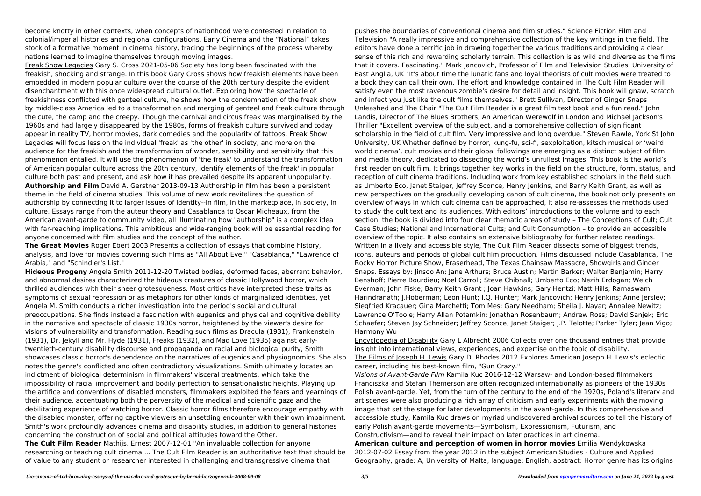become knotty in other contexts, when concepts of nationhood were contested in relation to colonial/imperial histories and regional configurations. Early Cinema and the "National" takes stock of a formative moment in cinema history, tracing the beginnings of the process whereby nations learned to imagine themselves through moving images.

Freak Show Legacies Gary S. Cross 2021-05-06 Society has long been fascinated with the freakish, shocking and strange. In this book Gary Cross shows how freakish elements have been embedded in modern popular culture over the course of the 20th century despite the evident disenchantment with this once widespread cultural outlet. Exploring how the spectacle of freakishness conflicted with genteel culture, he shows how the condemnation of the freak show by middle-class America led to a transformation and merging of genteel and freak culture through the cute, the camp and the creepy. Though the carnival and circus freak was marginalised by the 1960s and had largely disappeared by the 1980s, forms of freakish culture survived and today appear in reality TV, horror movies, dark comedies and the popularity of tattoos. Freak Show Legacies will focus less on the individual 'freak' as 'the other' in society, and more on the audience for the freakish and the transformation of wonder, sensibility and sensitivity that this phenomenon entailed. It will use the phenomenon of 'the freak' to understand the transformation of American popular culture across the 20th century, identify elements of 'the freak' in popular culture both past and present, and ask how it has prevailed despite its apparent unpopularity. **Authorship and Film** David A. Gerstner 2013-09-13 Authorship in film has been a persistent theme in the field of cinema studies. This volume of new work revitalizes the question of authorship by connecting it to larger issues of identity--in film, in the marketplace, in society, in culture. Essays range from the auteur theory and Casablanca to Oscar Micheaux, from the American avant-garde to community video, all illuminating how "authorship" is a complex idea with far-reaching implications. This ambitious and wide-ranging book will be essential reading for anyone concerned with film studies and the concept of the author.

**The Great Movies** Roger Ebert 2003 Presents a collection of essays that combine history, analysis, and love for movies covering such films as "All About Eve," "Casablanca," "Lawrence of Arabia," and "Schindler's List."

**Hideous Progeny** Angela Smith 2011-12-20 Twisted bodies, deformed faces, aberrant behavior, and abnormal desires characterized the hideous creatures of classic Hollywood horror, which thrilled audiences with their sheer grotesqueness. Most critics have interpreted these traits as symptoms of sexual repression or as metaphors for other kinds of marginalized identities, yet Angela M. Smith conducts a richer investigation into the period's social and cultural preoccupations. She finds instead a fascination with eugenics and physical and cognitive debility in the narrative and spectacle of classic 1930s horror, heightened by the viewer's desire for visions of vulnerability and transformation. Reading such films as Dracula (1931), Frankenstein (1931), Dr. Jekyll and Mr. Hyde (1931), Freaks (1932), and Mad Love (1935) against earlytwentieth-century disability discourse and propaganda on racial and biological purity, Smith showcases classic horror's dependence on the narratives of eugenics and physiognomics. She also notes the genre's conflicted and often contradictory visualizations. Smith ultimately locates an indictment of biological determinism in filmmakers' visceral treatments, which take the impossibility of racial improvement and bodily perfection to sensationalistic heights. Playing up the artifice and conventions of disabled monsters, filmmakers exploited the fears and yearnings of their audience, accentuating both the perversity of the medical and scientific gaze and the debilitating experience of watching horror. Classic horror films therefore encourage empathy with the disabled monster, offering captive viewers an unsettling encounter with their own impairment. Smith's work profoundly advances cinema and disability studies, in addition to general histories concerning the construction of social and political attitudes toward the Other.

**The Cult Film Reader** Mathijs, Ernest 2007-12-01 "An invaluable collection for anyone researching or teaching cult cinema ... The Cult Film Reader is an authoritative text that should be of value to any student or researcher interested in challenging and transgressive cinema that

pushes the boundaries of conventional cinema and film studies." Science Fiction Film and Television "A really impressive and comprehensive collection of the key writings in the field. The editors have done a terrific job in drawing together the various traditions and providing a clear sense of this rich and rewarding scholarly terrain. This collection is as wild and diverse as the films that it covers. Fascinating." Mark Jancovich, Professor of Film and Television Studies, University of East Anglia, UK "It's about time the lunatic fans and loyal theorists of cult movies were treated to a book they can call their own. The effort and knowledge contained in The Cult Film Reader will satisfy even the most ravenous zombie's desire for detail and insight. This book will gnaw, scratch and infect you just like the cult films themselves." Brett Sullivan, Director of Ginger Snaps Unleashed and The Chair "The Cult Film Reader is a great film text book and a fun read." John Landis, Director of The Blues Brothers, An American Werewolf in London and Michael Jackson's Thriller "Excellent overview of the subject, and a comprehensive collection of significant scholarship in the field of cult film. Very impressive and long overdue." Steven Rawle, York St John University, UK Whether defined by horror, kung-fu, sci-fi, sexploitation, kitsch musical or 'weird world cinema', cult movies and their global followings are emerging as a distinct subject of film and media theory, dedicated to dissecting the world's unruliest images. This book is the world's first reader on cult film. It brings together key works in the field on the structure, form, status, and reception of cult cinema traditions. Including work from key established scholars in the field such as Umberto Eco, Janet Staiger, Jeffrey Sconce, Henry Jenkins, and Barry Keith Grant, as well as new perspectives on the gradually developing canon of cult cinema, the book not only presents an overview of ways in which cult cinema can be approached, it also re-assesses the methods used to study the cult text and its audiences. With editors' introductions to the volume and to each section, the book is divided into four clear thematic areas of study – The Conceptions of Cult; Cult Case Studies; National and International Cults; and Cult Consumption – to provide an accessible overview of the topic. It also contains an extensive bibliography for further related readings. Written in a lively and accessible style, The Cult Film Reader dissects some of biggest trends, icons, auteurs and periods of global cult film production. Films discussed include Casablanca, The Rocky Horror Picture Show, Eraserhead, The Texas Chainsaw Massacre, Showgirls and Ginger Snaps. Essays by: Jinsoo An; Jane Arthurs; Bruce Austin; Martin Barker; Walter Benjamin; Harry Benshoff; Pierre Bourdieu; Noel Carroll; Steve Chibnall; Umberto Eco; Nezih Erdogan; Welch Everman; John Fiske; Barry Keith Grant ; Joan Hawkins; Gary Hentzi; Matt Hills; Ramaswami Harindranath; J.Hoberman; Leon Hunt; I.Q. Hunter; Mark Jancovich; Henry Jenkins; Anne Jerslev; Siegfried Kracauer; Gina Marchetti; Tom Mes; Gary Needham; Sheila J. Nayar; Annalee Newitz; Lawrence O'Toole; Harry Allan Potamkin; Jonathan Rosenbaum; Andrew Ross; David Sanjek; Eric Schaefer; Steven Jay Schneider; Jeffrey Sconce; Janet Staiger; J.P. Telotte; Parker Tyler; Jean Vigo; Harmony Wu

Encyclopedia of Disability Gary L Albrecht 2006 Collects over one thousand entries that provide insight into international views, experiences, and expertise on the topic of disability. The Films of Joseph H. Lewis Gary D. Rhodes 2012 Explores American Joseph H. Lewis's eclectic career, including his best-known film, "Gun Crazy." Visions of Avant-Garde Film Kamila Kuc 2016-12-12 Warsaw- and London-based filmmakers Franciszka and Stefan Themerson are often recognized internationally as pioneers of the 1930s Polish avant-garde. Yet, from the turn of the century to the end of the 1920s, Poland's literary and art scenes were also producing a rich array of criticism and early experiments with the moving image that set the stage for later developments in the avant-garde. In this comprehensive and accessible study, Kamila Kuc draws on myriad undiscovered archival sources to tell the history of early Polish avant-garde movements—Symbolism, Expressionism, Futurism, and Constructivism—and to reveal their impact on later practices in art cinema. **American culture and perception of women in horror movies** Emilia Wendykowska 2012-07-02 Essay from the year 2012 in the subject American Studies - Culture and Applied Geography, grade: A, University of Malta, language: English, abstract: Horror genre has its origins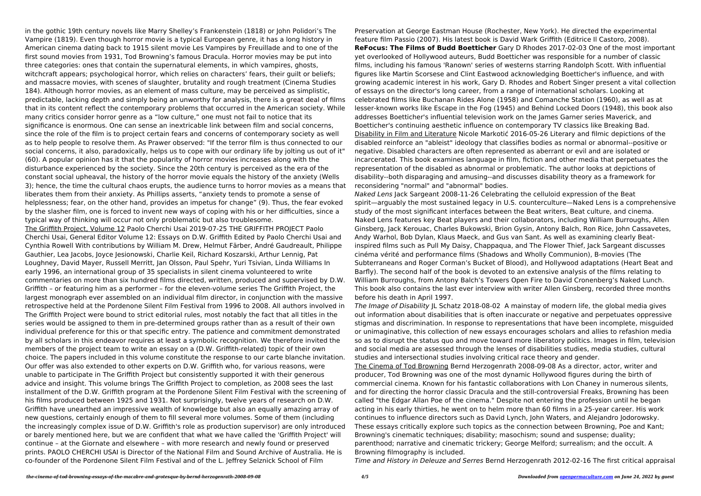in the gothic 19th century novels like Marry Shelley's Frankenstein (1818) or John Polidori's The Vampire (1819). Even though horror movie is a typical European genre, it has a long history in American cinema dating back to 1915 silent movie Les Vampires by Freuillade and to one of the first sound movies from 1931, Tod Browning's famous Dracula. Horror movies may be put into three categories: ones that contain the supernatural elements, in which vampires, ghosts, witchcraft appears; psychological horror, which relies on characters' fears, their guilt or beliefs; and massacre movies, with scenes of slaughter, brutality and rough treatment (Cinema Studies 184). Although horror movies, as an element of mass culture, may be perceived as simplistic, predictable, lacking depth and simply being an unworthy for analysis, there is a great deal of films that in its content reflect the contemporary problems that occurred in the American society. While many critics consider horror genre as a "low culture," one must not fail to notice that its significance is enormous. One can sense an inextricable link between film and social concerns, since the role of the film is to project certain fears and concerns of contemporary society as well as to help people to resolve them. As Prawer observed: "If the terror film is thus connected to our social concerns, it also, paradoxically, helps us to cope with our ordinary life by jolting us out of it" (60). A popular opinion has it that the popularity of horror movies increases along with the disturbance experienced by the society. Since the 20th century is perceived as the era of the constant social upheaval, the history of the horror movie equals the history of the anxiety (Wells 3); hence, the time the cultural chaos erupts, the audience turns to horror movies as a means that liberates them from their anxiety. As Phillips asserts, "anxiety tends to promote a sense of helplessness; fear, on the other hand, provides an impetus for change" (9). Thus, the fear evoked by the slasher film, one is forced to invent new ways of coping with his or her difficulties, since a typical way of thinking will occur not only problematic but also troublesome.

The Griffith Project, Volume 12 Paolo Cherchi Usai 2019-07-25 THE GRIFFITH PROJECT Paolo Cherchi Usai, General Editor Volume 12: Essays on D.W. Griffith Edited by Paolo Cherchi Usai and Cynthia Rowell With contributions by William M. Drew, Helmut Färber, André Gaudreault, Philippe Gauthier, Lea Jacobs, Joyce Jesionowski, Charlie Keil, Richard Koszarski, Arthur Lennig, Pat Loughney, David Mayer, Russell Merritt, Jan Olsson, Paul Spehr, Yuri Tsivian, Linda Williams In early 1996, an international group of 35 specialists in silent cinema volunteered to write commentaries on more than six hundred films directed, written, produced and supervised by D.W. Griffith – or featuring him as a performer – for the eleven-volume series The Griffith Project, the largest monograph ever assembled on an individual film director, in conjunction with the massive retrospective held at the Pordenone Silent Film Festival from 1996 to 2008. All authors involved in The Griffith Project were bound to strict editorial rules, most notably the fact that all titles in the series would be assigned to them in pre-determined groups rather than as a result of their own individual preference for this or that specific entry. The patience and commitment demonstrated by all scholars in this endeavor requires at least a symbolic recognition. We therefore invited the members of the project team to write an essay on a (D.W. Griffith-related) topic of their own choice. The papers included in this volume constitute the response to our carte blanche invitation. Our offer was also extended to other experts on D.W. Griffith who, for various reasons, were unable to participate in The Griffith Project but consistently supported it with their generous advice and insight. This volume brings The Griffith Project to completion, as 2008 sees the last installment of the D.W. Griffith program at the Pordenone Silent Film Festival with the screening of his films produced between 1925 and 1931. Not surprisingly, twelve years of research on D.W. Griffith have unearthed an impressive wealth of knowledge but also an equally amazing array of new questions, certainly enough of them to fill several more volumes. Some of them (including the increasingly complex issue of D.W. Griffith's role as production supervisor) are only introduced or barely mentioned here, but we are confident that what we have called the 'Griffith Project' will continue – at the Giornate and elsewhere – with more research and newly found or preserved prints. PAOLO CHERCHI USAI is Director of the National Film and Sound Archive of Australia. He is co-founder of the Pordenone Silent Film Festival and of the L. Jeffrey Selznick School of Film

The Image of Disability JL Schatz 2018-08-02 A mainstay of modern life, the global media gives out information about disabilities that is often inaccurate or negative and perpetuates oppressive stigmas and discrimination. In response to representations that have been incomplete, misguided or unimaginative, this collection of new essays encourages scholars and allies to refashion media so as to disrupt the status quo and move toward more liberatory politics. Images in film, television and social media are assessed through the lenses of disabilities studies, media studies, cultural studies and intersectional studies involving critical race theory and gender. The Cinema of Tod Browning Bernd Herzogenrath 2008-09-08 As a director, actor, writer and producer, Tod Browning was one of the most dynamic Hollywood figures during the birth of commercial cinema. Known for his fantastic collaborations with Lon Chaney in numerous silents, and for directing the horror classic Dracula and the still-controversial Freaks, Browning has been called "the Edgar Allan Poe of the cinema." Despite not entering the profession until he began acting in his early thirties, he went on to helm more than 60 films in a 25-year career. His work continues to influence directors such as David Lynch, John Waters, and Alejandro Jodorowsky. These essays critically explore such topics as the connection between Browning, Poe and Kant; Browning's cinematic techniques; disability; masochism; sound and suspense; duality; parenthood; narrative and cinematic trickery; George Melford; surrealism; and the occult. A Browning filmography is included.

Preservation at George Eastman House (Rochester, New York). He directed the experimental feature film Passio (2007). His latest book is David Wark Griffith (Editrice Il Castoro, 2008). **ReFocus: The Films of Budd Boetticher** Gary D Rhodes 2017-02-03 One of the most important yet overlooked of Hollywood auteurs, Budd Boetticher was responsible for a number of classic films, including his famous 'Ranown' series of westerns starring Randolph Scott. With influential figures like Martin Scorsese and Clint Eastwood acknowledging Boetticher's influence, and with growing academic interest in his work, Gary D. Rhodes and Robert Singer present a vital collection of essays on the director's long career, from a range of international scholars. Looking at celebrated films like Buchanan Rides Alone (1958) and Comanche Station (1960), as well as at lesser-known works like Escape in the Fog (1945) and Behind Locked Doors (1948), this book also addresses Boetticher's influential television work on the James Garner series Maverick, and Boetticher's continuing aesthetic influence on contemporary TV classics like Breaking Bad. Disability in Film and Literature Nicole Markotić 2016-05-26 Literary and filmic depictions of the disabled reinforce an "ableist" ideology that classifies bodies as normal or abnormal--positive or negative. Disabled characters are often represented as aberrant or evil and are isolated or incarcerated. This book examines language in film, fiction and other media that perpetuates the representation of the disabled as abnormal or problematic. The author looks at depictions of disability--both disparaging and amusing--and discusses disability theory as a framework for reconsidering "normal" and "abnormal" bodies. Naked Lens Jack Sargeant 2008-11-26 Celebrating the celluloid expression of the Beat

spirit—arguably the most sustained legacy in U.S. counterculture—Naked Lens is a comprehensive study of the most significant interfaces between the Beat writers, Beat culture, and cinema. Naked Lens features key Beat players and their collaborators, including William Burroughs, Allen Ginsberg, Jack Kerouac, Charles Bukowski, Brion Gysin, Antony Balch, Ron Rice, John Cassavetes, Andy Warhol, Bob Dylan, Klaus Maeck, and Gus van Sant. As well as examining clearly Beatinspired films such as Pull My Daisy, Chappaqua, and The Flower Thief, Jack Sargeant discusses cinéma vérité and performance films (Shadows and Wholly Communion), B-movies (The Subterraneans and Roger Corman's Bucket of Blood), and Hollywood adaptations (Heart Beat and Barfly). The second half of the book is devoted to an extensive analysis of the films relating to William Burroughs, from Antony Balch's Towers Open Fire to David Cronenberg's Naked Lunch. This book also contains the last ever interview with writer Allen Ginsberg, recorded three months before his death in April 1997.

Time and History in Deleuze and Serres Bernd Herzogenrath 2012-02-16 The first critical appraisal